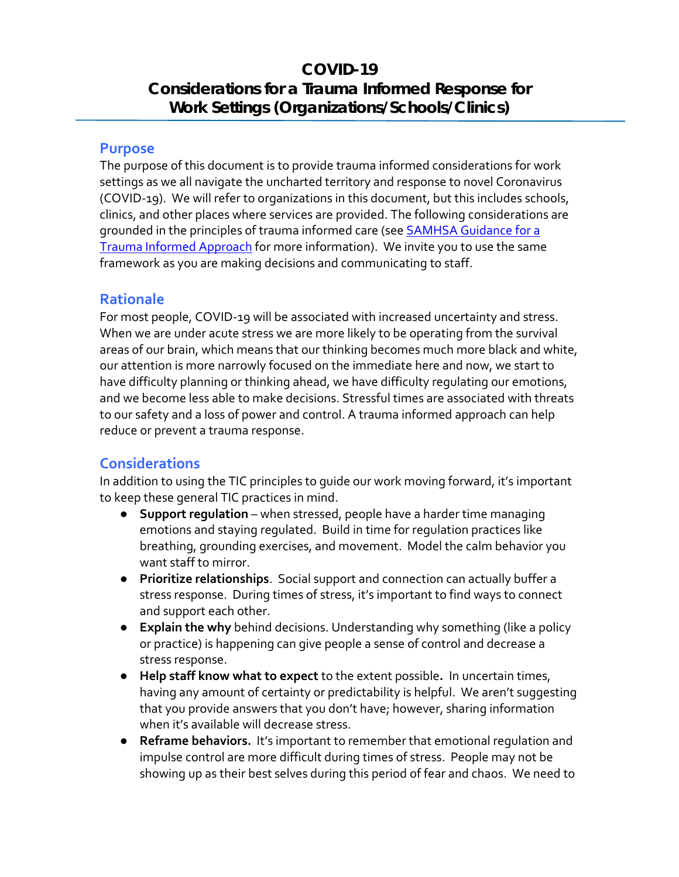## **COVID-19 Considerations for a Trauma Informed Response for Work Settings (Organizations/Schools/Clinics)**

## **Purpose**

The purpose of this document is to provide trauma informed considerations for work settings as we all navigate the uncharted territory and response to novel Coronavirus (COVID-19). We will refer to organizations in this document, but this includes schools, clinics, and other places where services are provided. The following considerations are grounded in the principles of trauma informed care (see **SAMHSA Guidance for a** [Trauma Informed Approach](https://store.samhsa.gov/system/files/sma14-4884.pdf) for more information). We invite you to use the same framework as you are making decisions and communicating to staff.

## **Rationale**

For most people, COVID-19 will be associated with increased uncertainty and stress. When we are under acute stress we are more likely to be operating from the survival areas of our brain, which means that our thinking becomes much more black and white, our attention is more narrowly focused on the immediate here and now, we start to have difficulty planning or thinking ahead, we have difficulty regulating our emotions, and we become less able to make decisions. Stressful times are associated with threats to our safety and a loss of power and control. A trauma informed approach can help reduce or prevent a trauma response.

## **Considerations**

In addition to using the TIC principles to guide our work moving forward, it's important to keep these general TIC practices in mind.

- **Support regulation** when stressed, people have a harder time managing emotions and staying regulated. Build in time for regulation practices like breathing, grounding exercises, and movement. Model the calm behavior you want staff to mirror.
- **Prioritize relationships**. Social support and connection can actually buffer a stress response. During times of stress, it's important to find ways to connect and support each other.
- **Explain the why** behind decisions. Understanding why something (like a policy or practice) is happening can give people a sense of control and decrease a stress response.
- **Help staff know what to expect** to the extent possible**.** In uncertain times, having any amount of certainty or predictability is helpful. We aren't suggesting that you provide answers that you don't have; however, sharing information when it's available will decrease stress.
- **Reframe behaviors.** It's important to remember that emotional regulation and impulse control are more difficult during times of stress. People may not be showing up as their best selves during this period of fear and chaos. We need to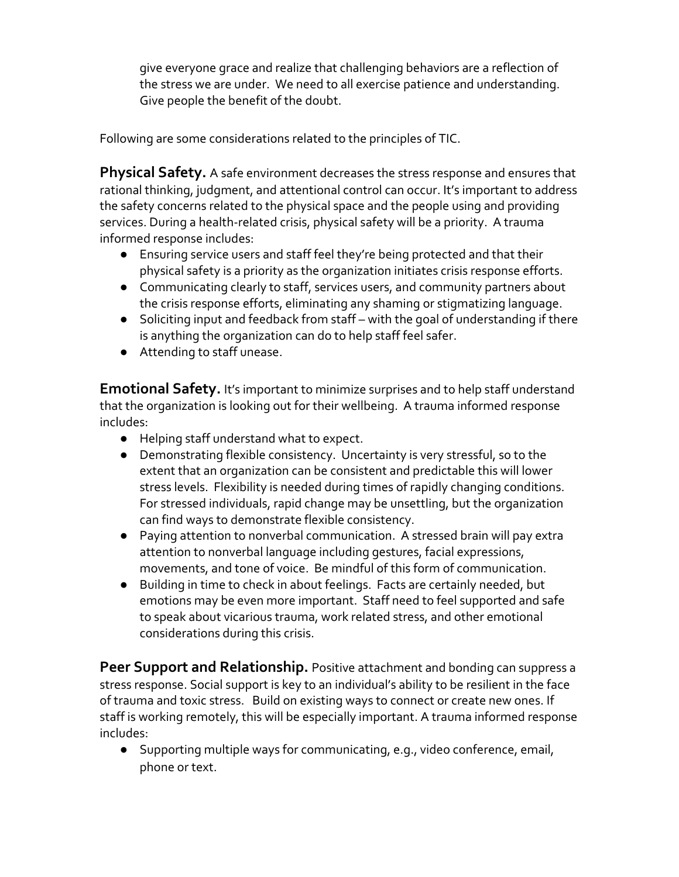give everyone grace and realize that challenging behaviors are a reflection of the stress we are under. We need to all exercise patience and understanding. Give people the benefit of the doubt.

Following are some considerations related to the principles of TIC.

**Physical Safety.** A safe environment decreases the stress response and ensures that rational thinking, judgment, and attentional control can occur. It's important to address the safety concerns related to the physical space and the people using and providing services. During a health-related crisis, physical safety will be a priority. A trauma informed response includes:

- Ensuring service users and staff feel they're being protected and that their physical safety is a priority as the organization initiates crisis response efforts.
- Communicating clearly to staff, services users, and community partners about the crisis response efforts, eliminating any shaming or stigmatizing language.
- Soliciting input and feedback from staff with the goal of understanding if there is anything the organization can do to help staff feel safer.
- Attending to staff unease.

**Emotional Safety.** It's important to minimize surprises and to help staff understand that the organization is looking out for their wellbeing. A trauma informed response includes:

- Helping staff understand what to expect.
- Demonstrating flexible consistency. Uncertainty is very stressful, so to the extent that an organization can be consistent and predictable this will lower stress levels. Flexibility is needed during times of rapidly changing conditions. For stressed individuals, rapid change may be unsettling, but the organization can find ways to demonstrate flexible consistency.
- Paying attention to nonverbal communication. A stressed brain will pay extra attention to nonverbal language including gestures, facial expressions, movements, and tone of voice. Be mindful of this form of communication.
- Building in time to check in about feelings. Facts are certainly needed, but emotions may be even more important. Staff need to feel supported and safe to speak about vicarious trauma, work related stress, and other emotional considerations during this crisis.

**Peer Support and Relationship.** Positive attachment and bonding can suppress a stress response. Social support is key to an individual's ability to be resilient in the face of trauma and toxic stress. Build on existing ways to connect or create new ones. If staff is working remotely, this will be especially important. A trauma informed response includes:

● Supporting multiple ways for communicating, e.g., video conference, email, phone or text.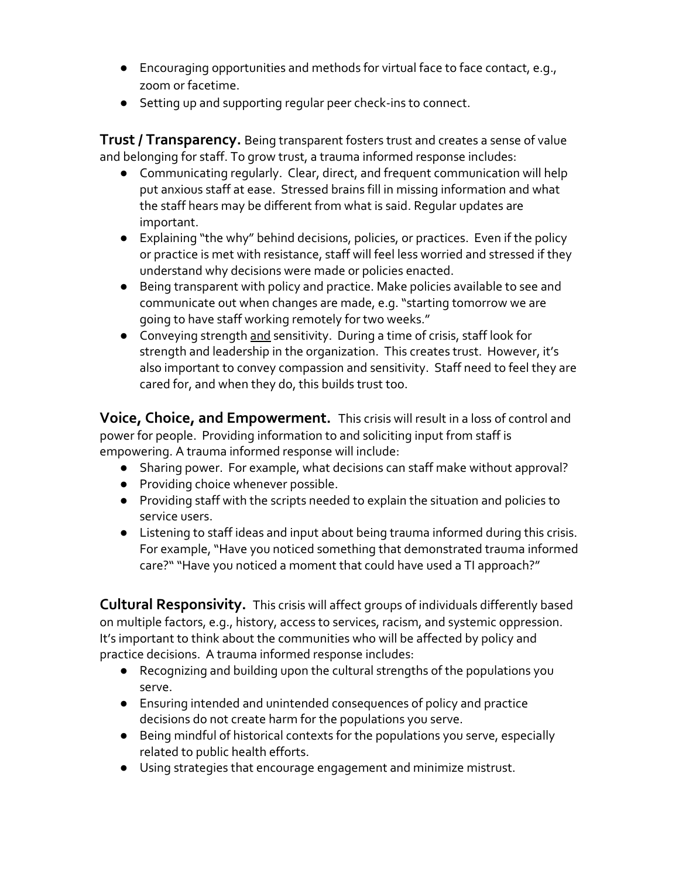- Encouraging opportunities and methods for virtual face to face contact, e.g., zoom or facetime.
- Setting up and supporting regular peer check-ins to connect.

**Trust / Transparency.** Being transparent fosters trust and creates a sense of value and belonging for staff. To grow trust, a trauma informed response includes:

- Communicating regularly. Clear, direct, and frequent communication will help put anxious staff at ease. Stressed brains fill in missing information and what the staff hears may be different from what is said. Regular updates are important.
- Explaining "the why" behind decisions, policies, or practices. Even if the policy or practice is met with resistance, staff will feel less worried and stressed if they understand why decisions were made or policies enacted.
- Being transparent with policy and practice. Make policies available to see and communicate out when changes are made, e.g. "starting tomorrow we are going to have staff working remotely for two weeks."
- Conveying strength and sensitivity. During a time of crisis, staff look for strength and leadership in the organization. This creates trust. However, it's also important to convey compassion and sensitivity. Staff need to feel they are cared for, and when they do, this builds trust too.

**Voice, Choice, and Empowerment.** This crisis will result in a loss of control and power for people. Providing information to and soliciting input from staff is empowering. A trauma informed response will include:

- Sharing power. For example, what decisions can staff make without approval?
- Providing choice whenever possible.
- Providing staff with the scripts needed to explain the situation and policies to service users.
- Listening to staff ideas and input about being trauma informed during this crisis. For example, "Have you noticed something that demonstrated trauma informed care?" "Have you noticed a moment that could have used a TI approach?"

**Cultural Responsivity.** This crisis will affect groups of individuals differently based on multiple factors, e.g., history, access to services, racism, and systemic oppression. It's important to think about the communities who will be affected by policy and practice decisions. A trauma informed response includes:

- Recognizing and building upon the cultural strengths of the populations you serve.
- Ensuring intended and unintended consequences of policy and practice decisions do not create harm for the populations you serve.
- Being mindful of historical contexts for the populations you serve, especially related to public health efforts.
- Using strategies that encourage engagement and minimize mistrust.